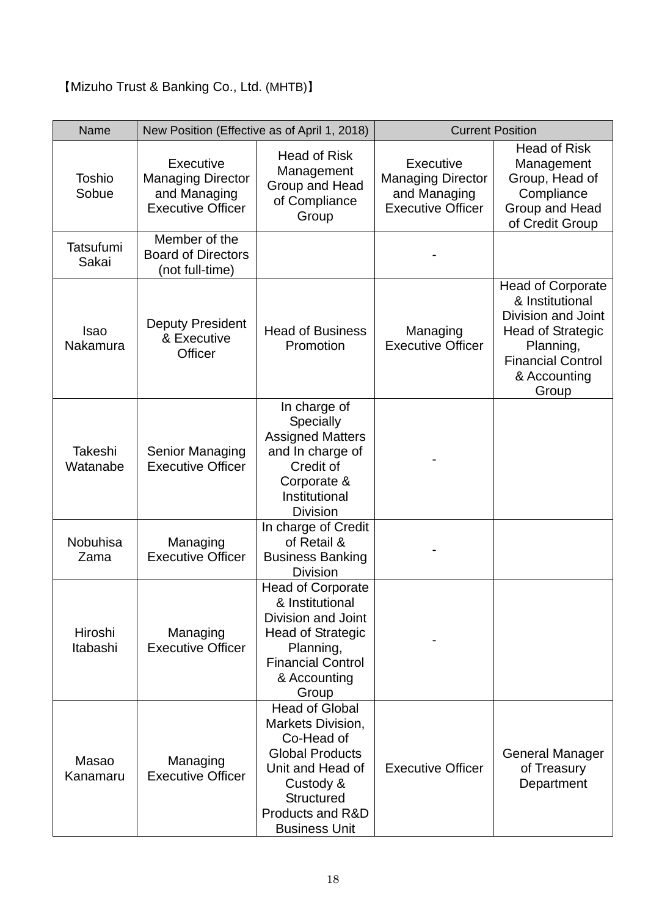## 【Mizuho Trust & Banking Co., Ltd. (MHTB)】

| Name                      | New Position (Effective as of April 1, 2018)                                      |                                                                                                                                                                                      | <b>Current Position</b>                                                           |                                                                                                                                                                 |
|---------------------------|-----------------------------------------------------------------------------------|--------------------------------------------------------------------------------------------------------------------------------------------------------------------------------------|-----------------------------------------------------------------------------------|-----------------------------------------------------------------------------------------------------------------------------------------------------------------|
| <b>Toshio</b><br>Sobue    | Executive<br><b>Managing Director</b><br>and Managing<br><b>Executive Officer</b> | <b>Head of Risk</b><br>Management<br>Group and Head<br>of Compliance<br>Group                                                                                                        | Executive<br><b>Managing Director</b><br>and Managing<br><b>Executive Officer</b> | <b>Head of Risk</b><br>Management<br>Group, Head of<br>Compliance<br>Group and Head<br>of Credit Group                                                          |
| <b>Tatsufumi</b><br>Sakai | Member of the<br><b>Board of Directors</b><br>(not full-time)                     |                                                                                                                                                                                      |                                                                                   |                                                                                                                                                                 |
| <b>Isao</b><br>Nakamura   | <b>Deputy President</b><br>& Executive<br>Officer                                 | <b>Head of Business</b><br>Promotion                                                                                                                                                 | Managing<br><b>Executive Officer</b>                                              | <b>Head of Corporate</b><br>& Institutional<br>Division and Joint<br><b>Head of Strategic</b><br>Planning,<br><b>Financial Control</b><br>& Accounting<br>Group |
| Takeshi<br>Watanabe       | Senior Managing<br><b>Executive Officer</b>                                       | In charge of<br>Specially<br><b>Assigned Matters</b><br>and In charge of<br>Credit of<br>Corporate &<br>Institutional<br><b>Division</b>                                             |                                                                                   |                                                                                                                                                                 |
| Nobuhisa<br>Zama          | Managing<br><b>Executive Officer</b>                                              | In charge of Credit<br>of Retail &<br><b>Business Banking</b><br><b>Division</b>                                                                                                     |                                                                                   |                                                                                                                                                                 |
| Hiroshi<br>Itabashi       | Managing<br><b>Executive Officer</b>                                              | <b>Head of Corporate</b><br>& Institutional<br>Division and Joint<br><b>Head of Strategic</b><br>Planning,<br><b>Financial Control</b><br>& Accounting<br>Group                      |                                                                                   |                                                                                                                                                                 |
| Masao<br>Kanamaru         | Managing<br><b>Executive Officer</b>                                              | <b>Head of Global</b><br>Markets Division,<br>Co-Head of<br><b>Global Products</b><br>Unit and Head of<br>Custody &<br><b>Structured</b><br>Products and R&D<br><b>Business Unit</b> | <b>Executive Officer</b>                                                          | <b>General Manager</b><br>of Treasury<br>Department                                                                                                             |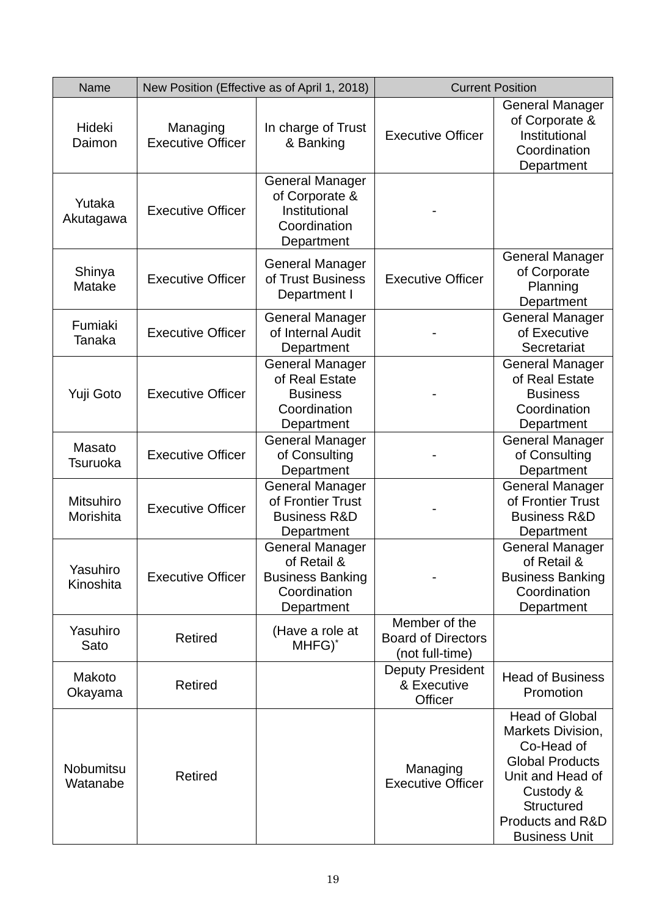| Name                          | New Position (Effective as of April 1, 2018) |                                                                                                | <b>Current Position</b>                                       |                                                                                                                                                                                      |
|-------------------------------|----------------------------------------------|------------------------------------------------------------------------------------------------|---------------------------------------------------------------|--------------------------------------------------------------------------------------------------------------------------------------------------------------------------------------|
| Hideki<br>Daimon              | Managing<br><b>Executive Officer</b>         | In charge of Trust<br>& Banking                                                                | <b>Executive Officer</b>                                      | <b>General Manager</b><br>of Corporate &<br>Institutional<br>Coordination<br>Department                                                                                              |
| Yutaka<br>Akutagawa           | <b>Executive Officer</b>                     | <b>General Manager</b><br>of Corporate &<br>Institutional<br>Coordination<br>Department        |                                                               |                                                                                                                                                                                      |
| Shinya<br>Matake              | <b>Executive Officer</b>                     | <b>General Manager</b><br>of Trust Business<br>Department I                                    | <b>Executive Officer</b>                                      | <b>General Manager</b><br>of Corporate<br>Planning<br>Department                                                                                                                     |
| Fumiaki<br>Tanaka             | <b>Executive Officer</b>                     | <b>General Manager</b><br>of Internal Audit<br>Department                                      |                                                               | <b>General Manager</b><br>of Executive<br>Secretariat                                                                                                                                |
| Yuji Goto                     | <b>Executive Officer</b>                     | <b>General Manager</b><br>of Real Estate<br><b>Business</b><br>Coordination<br>Department      |                                                               | <b>General Manager</b><br>of Real Estate<br><b>Business</b><br>Coordination<br>Department                                                                                            |
| Masato<br>Tsuruoka            | <b>Executive Officer</b>                     | <b>General Manager</b><br>of Consulting<br>Department                                          |                                                               | <b>General Manager</b><br>of Consulting<br>Department                                                                                                                                |
| <b>Mitsuhiro</b><br>Morishita | <b>Executive Officer</b>                     | <b>General Manager</b><br>of Frontier Trust<br><b>Business R&amp;D</b><br>Department           |                                                               | <b>General Manager</b><br>of Frontier Trust<br><b>Business R&amp;D</b><br>Department                                                                                                 |
| Yasuhiro<br>Kinoshita         | <b>Executive Officer</b>                     | <b>General Manager</b><br>of Retail &<br><b>Business Banking</b><br>Coordination<br>Department |                                                               | <b>General Manager</b><br>of Retail &<br><b>Business Banking</b><br>Coordination<br>Department                                                                                       |
| Yasuhiro<br>Sato              | <b>Retired</b>                               | (Have a role at<br>MHFG) <sup>*</sup>                                                          | Member of the<br><b>Board of Directors</b><br>(not full-time) |                                                                                                                                                                                      |
| Makoto<br>Okayama             | <b>Retired</b>                               |                                                                                                | <b>Deputy President</b><br>& Executive<br>Officer             | <b>Head of Business</b><br>Promotion                                                                                                                                                 |
| <b>Nobumitsu</b><br>Watanabe  | <b>Retired</b>                               |                                                                                                | Managing<br><b>Executive Officer</b>                          | <b>Head of Global</b><br>Markets Division,<br>Co-Head of<br><b>Global Products</b><br>Unit and Head of<br>Custody &<br><b>Structured</b><br>Products and R&D<br><b>Business Unit</b> |